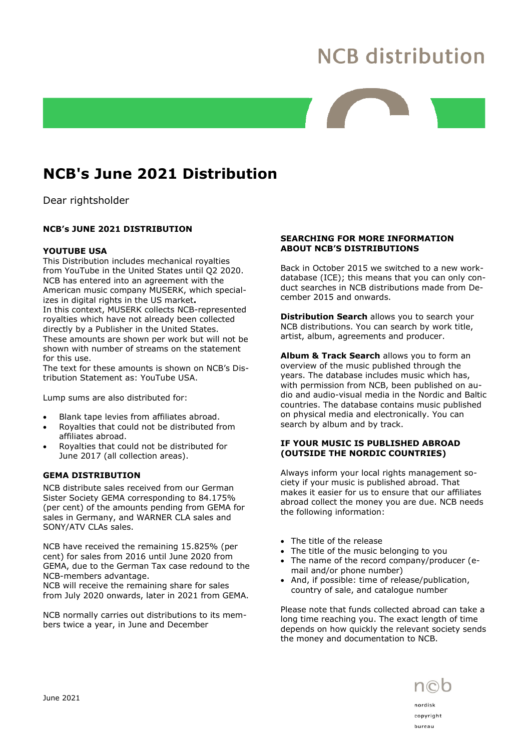# **NCB distribution**

## NCB's June 2021 Distribution

Dear rightsholder

### NCB's JUNE 2021 DISTRIBUTION

#### YOUTUBE USA

This Distribution includes mechanical royalties from YouTube in the United States until Q2 2020. NCB has entered into an agreement with the American music company MUSERK, which specializes in digital rights in the US market. In this context, MUSERK collects NCB-represented royalties which have not already been collected directly by a Publisher in the United States. These amounts are shown per work but will not be shown with number of streams on the statement for this use.

The text for these amounts is shown on NCB's Distribution Statement as: YouTube USA.

Lump sums are also distributed for:

- Blank tape levies from affiliates abroad.
- Royalties that could not be distributed from affiliates abroad.
- Royalties that could not be distributed for June 2017 (all collection areas).

#### GEMA DISTRIBUTION

NCB distribute sales received from our German Sister Society GEMA corresponding to 84.175% (per cent) of the amounts pending from GEMA for sales in Germany, and WARNER CLA sales and SONY/ATV CLAs sales.

NCB have received the remaining 15.825% (per cent) for sales from 2016 until June 2020 from GEMA, due to the German Tax case redound to the NCB-members advantage.

NCB will receive the remaining share for sales from July 2020 onwards, later in 2021 from GEMA.

NCB normally carries out distributions to its members twice a year, in June and December

#### SEARCHING FOR MORE INFORMATION ABOUT NCB'S DISTRIBUTIONS

Back in October 2015 we switched to a new workdatabase (ICE); this means that you can only conduct searches in NCB distributions made from December 2015 and onwards.

Distribution Search allows you to search your NCB distributions. You can search by work title, artist, album, agreements and producer.

Album & Track Search allows you to form an overview of the music published through the years. The database includes music which has, with permission from NCB, been published on audio and audio-visual media in the Nordic and Baltic countries. The database contains music published on physical media and electronically. You can search by album and by track.

#### IF YOUR MUSIC IS PUBLISHED ABROAD (OUTSIDE THE NORDIC COUNTRIES)

Always inform your local rights management society if your music is published abroad. That makes it easier for us to ensure that our affiliates abroad collect the money you are due. NCB needs the following information:

- The title of the release
- The title of the music belonging to you
- The name of the record company/producer (email and/or phone number)
- And, if possible: time of release/publication, country of sale, and catalogue number

Please note that funds collected abroad can take a long time reaching you. The exact length of time depends on how quickly the relevant society sends the money and documentation to NCB.